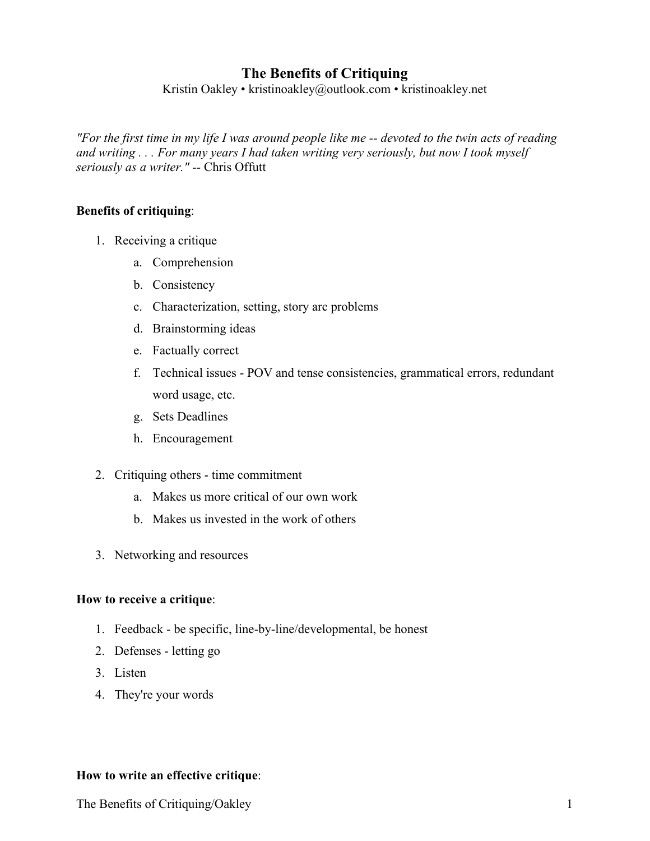# **The Benefits of Critiquing**

Kristin Oakley • kristinoakley@outlook.com • kristinoakley.net

*"For the first time in my life I was around people like me -- devoted to the twin acts of reading and writing . . . For many years I had taken writing very seriously, but now I took myself seriously as a writer." --* Chris Offutt

#### **Benefits of critiquing**:

- 1. Receiving a critique
	- a. Comprehension
	- b. Consistency
	- c. Characterization, setting, story arc problems
	- d. Brainstorming ideas
	- e. Factually correct
	- f. Technical issues POV and tense consistencies, grammatical errors, redundant word usage, etc.
	- g. Sets Deadlines
	- h. Encouragement
- 2. Critiquing others time commitment
	- a. Makes us more critical of our own work
	- b. Makes us invested in the work of others
- 3. Networking and resources

#### **How to receive a critique**:

- 1. Feedback be specific, line-by-line/developmental, be honest
- 2. Defenses letting go
- 3. Listen
- 4. They're your words

#### **How to write an effective critique**:

The Benefits of Critiquing/Oakley 1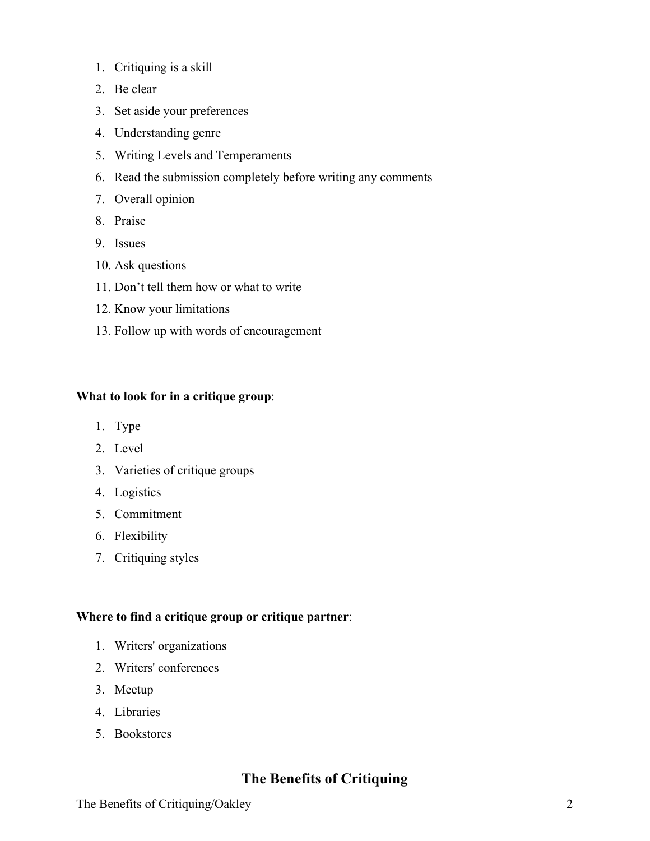- 1. Critiquing is a skill
- 2. Be clear
- 3. Set aside your preferences
- 4. Understanding genre
- 5. Writing Levels and Temperaments
- 6. Read the submission completely before writing any comments
- 7. Overall opinion
- 8. Praise
- 9. Issues
- 10. Ask questions
- 11. Don't tell them how or what to write
- 12. Know your limitations
- 13. Follow up with words of encouragement

#### **What to look for in a critique group**:

- 1. Type
- 2. Level
- 3. Varieties of critique groups
- 4. Logistics
- 5. Commitment
- 6. Flexibility
- 7. Critiquing styles

#### **Where to find a critique group or critique partner**:

- 1. Writers' organizations
- 2. Writers' conferences
- 3. Meetup
- 4. Libraries
- 5. Bookstores

# **The Benefits of Critiquing**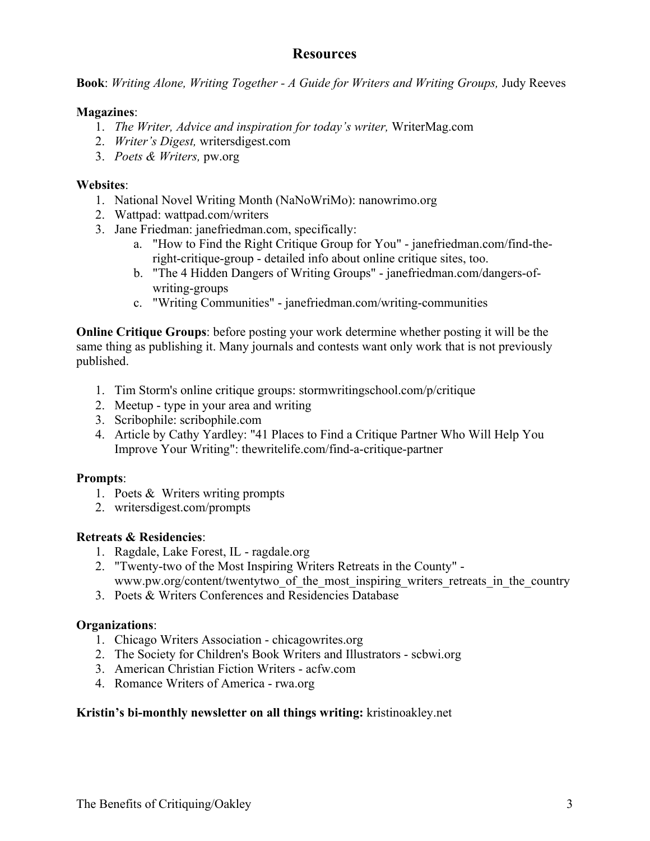# **Resources**

**Book**: *Writing Alone, Writing Together - A Guide for Writers and Writing Groups,* Judy Reeves

## **Magazines**:

- 1. *The Writer, Advice and inspiration for today's writer,* WriterMag.com
- 2. *Writer's Digest,* writersdigest.com
- 3. *Poets & Writers,* pw.org

## **Websites**:

- 1. National Novel Writing Month (NaNoWriMo): nanowrimo.org
- 2. Wattpad: wattpad.com/writers
- 3. Jane Friedman: janefriedman.com, specifically:
	- a. "How to Find the Right Critique Group for You" janefriedman.com/find-theright-critique-group - detailed info about online critique sites, too.
	- b. "The 4 Hidden Dangers of Writing Groups" janefriedman.com/dangers-ofwriting-groups
	- c. "Writing Communities" janefriedman.com/writing-communities

**Online Critique Groups**: before posting your work determine whether posting it will be the same thing as publishing it. Many journals and contests want only work that is not previously published.

- 1. Tim Storm's online critique groups: stormwritingschool.com/p/critique
- 2. Meetup type in your area and writing
- 3. Scribophile: scribophile.com
- 4. Article by Cathy Yardley: "41 Places to Find a Critique Partner Who Will Help You Improve Your Writing": thewritelife.com/find-a-critique-partner

## **Prompts**:

- 1. Poets & Writers writing prompts
- 2. writersdigest.com/prompts

## **Retreats & Residencies**:

- 1. Ragdale, Lake Forest, IL ragdale.org
- 2. "Twenty-two of the Most Inspiring Writers Retreats in the County" www.pw.org/content/twentytwo of the most inspiring writers retreats in the country
- 3. Poets & Writers Conferences and Residencies Database

## **Organizations**:

- 1. Chicago Writers Association chicagowrites.org
- 2. The Society for Children's Book Writers and Illustrators scbwi.org
- 3. American Christian Fiction Writers acfw.com
- 4. Romance Writers of America rwa.org

## **Kristin's bi-monthly newsletter on all things writing:** kristinoakley.net